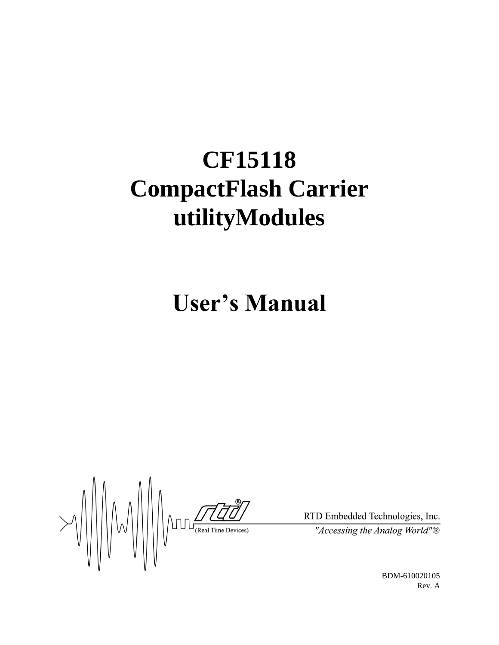# **CF15118 CompactFlash Carrier utilityModules**

**User's Manual**

 $\frac{1}{\frac{1}{\sqrt{1-\frac{1}{\sqrt{1-\frac{1}{\sqrt{1-\frac{1}{\sqrt{1-\frac{1}{\sqrt{1-\frac{1}{\sqrt{1-\frac{1}{\sqrt{1-\frac{1}{\sqrt{1-\frac{1}{\sqrt{1-\frac{1}{\sqrt{1-\frac{1}{\sqrt{1-\frac{1}{\sqrt{1-\frac{1}{\sqrt{1-\frac{1}{\sqrt{1-\frac{1}{\sqrt{1-\frac{1}{\sqrt{1-\frac{1}{\sqrt{1-\frac{1}{\sqrt{1-\frac{1}{\sqrt{1-\frac{1}{\sqrt{1-\frac{1}{\sqrt{1-\frac{1}{\sqrt{1-\frac{1}{\sqrt{1-\frac{1}{\sqrt{$ 

RTD Embedded Technologies, Inc.

"Accessing the Analog World" $\overline{\mathbb{B}}$ 

BDM-610020105 Rev. A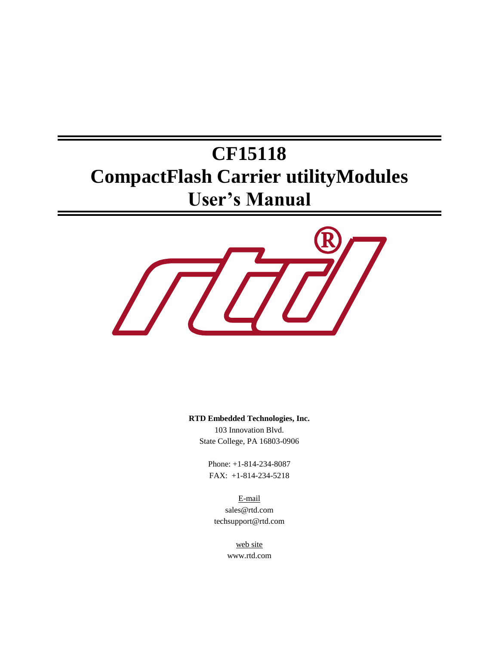## **CF15118 CompactFlash Carrier utilityModules User's Manual**



**RTD Embedded Technologies, Inc.**

103 Innovation Blvd. State College, PA 16803-0906

Phone: +1-814-234-8087 FAX: +1-814-234-5218

E-mail sales@rtd.com techsupport@rtd.com

> web site www.rtd.com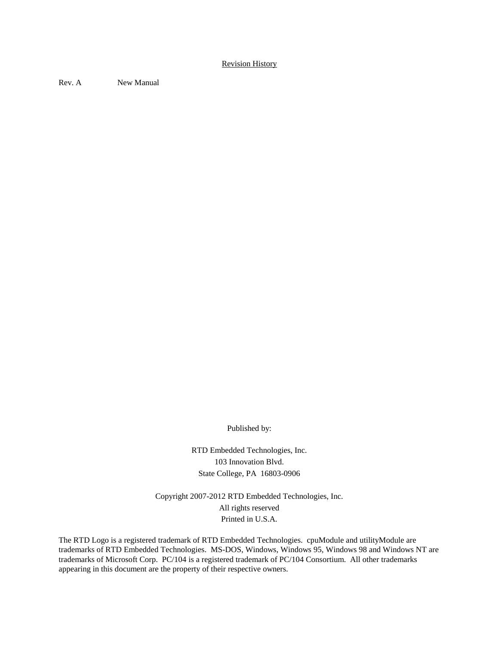#### Revision History

Rev. A New Manual

Published by:

RTD Embedded Technologies, Inc. 103 Innovation Blvd. State College, PA 16803-0906

Copyright 2007-2012 RTD Embedded Technologies, Inc. All rights reserved Printed in U.S.A.

The RTD Logo is a registered trademark of RTD Embedded Technologies. cpuModule and utilityModule are trademarks of RTD Embedded Technologies. MS-DOS, Windows, Windows 95, Windows 98 and Windows NT are trademarks of Microsoft Corp. PC/104 is a registered trademark of PC/104 Consortium. All other trademarks appearing in this document are the property of their respective owners.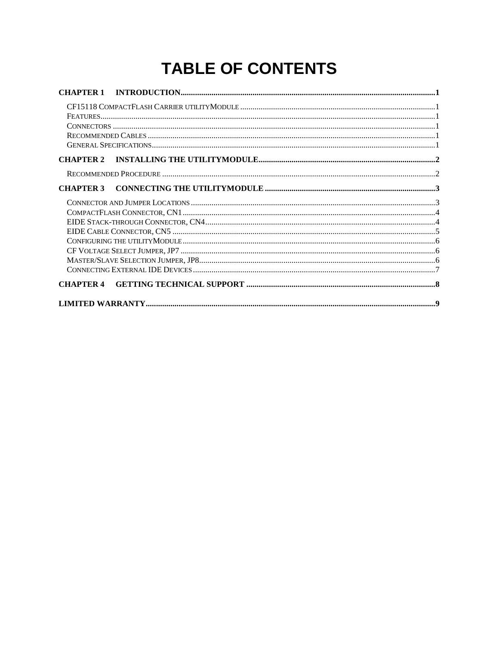## **TABLE OF CONTENTS**

| <b>CHAPTER 1</b> |                                                             |  |
|------------------|-------------------------------------------------------------|--|
|                  |                                                             |  |
|                  |                                                             |  |
| <b>CHAPTER 2</b> |                                                             |  |
|                  |                                                             |  |
| <b>CHAPTER 3</b> |                                                             |  |
|                  |                                                             |  |
|                  |                                                             |  |
|                  |                                                             |  |
|                  |                                                             |  |
|                  |                                                             |  |
|                  |                                                             |  |
|                  | $\textbf{MASTER/SLAVE SELECTION JUMPER, JP8\hspace{0.05in}$ |  |
|                  |                                                             |  |
| <b>CHAPTER 4</b> |                                                             |  |
|                  |                                                             |  |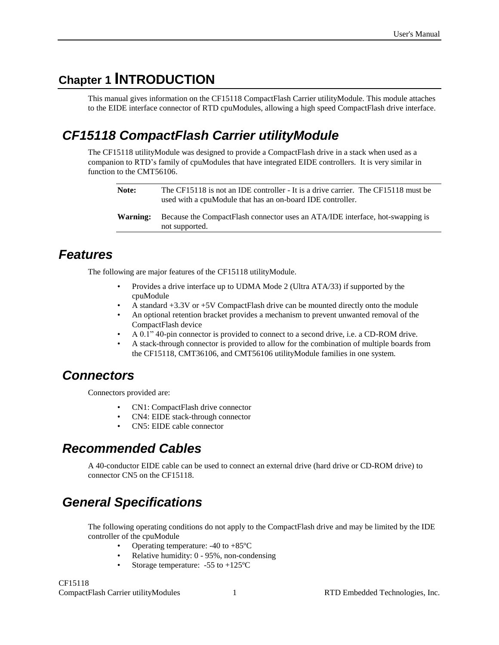## <span id="page-6-0"></span>**Chapter 1 INTRODUCTION**

This manual gives information on the CF15118 CompactFlash Carrier utilityModule. This module attaches to the EIDE interface connector of RTD cpuModules, allowing a high speed CompactFlash drive interface.

### <span id="page-6-1"></span>*CF15118 CompactFlash Carrier utilityModule*

The CF15118 utilityModule was designed to provide a CompactFlash drive in a stack when used as a companion to RTD's family of cpuModules that have integrated EIDE controllers. It is very similar in function to the CMT56106.

| Note:    | The CF15118 is not an IDE controller - It is a drive carrier. The CF15118 must be<br>used with a cpuModule that has an on-board IDE controller. |
|----------|-------------------------------------------------------------------------------------------------------------------------------------------------|
| Warning: | Because the CompactFlash connector uses an ATA/IDE interface, hot-swapping is<br>not supported.                                                 |

#### <span id="page-6-2"></span>*Features*

The following are major features of the CF15118 utilityModule.

- Provides a drive interface up to UDMA Mode 2 (Ultra ATA/33) if supported by the cpuModule
- A standard +3.3V or +5V CompactFlash drive can be mounted directly onto the module
- An optional retention bracket provides a mechanism to prevent unwanted removal of the CompactFlash device
- A 0.1" 40-pin connector is provided to connect to a second drive, i.e. a CD-ROM drive.
- A stack-through connector is provided to allow for the combination of multiple boards from the CF15118, CMT36106, and CMT56106 utilityModule families in one system.

#### <span id="page-6-3"></span>*Connectors*

Connectors provided are:

- CN1: CompactFlash drive connector
- CN4: EIDE stack-through connector
- CN5: EIDE cable connector

#### <span id="page-6-4"></span>*Recommended Cables*

A 40-conductor EIDE cable can be used to connect an external drive (hard drive or CD-ROM drive) to connector CN5 on the CF15118.

## <span id="page-6-5"></span>*General Specifications*

The following operating conditions do not apply to the CompactFlash drive and may be limited by the IDE controller of the cpuModule

- Operating temperature:  $-40$  to  $+85^{\circ}$ C
- Relative humidity: 0 95%, non-condensing
- Storage temperature:  $-55$  to  $+125$ <sup>o</sup>C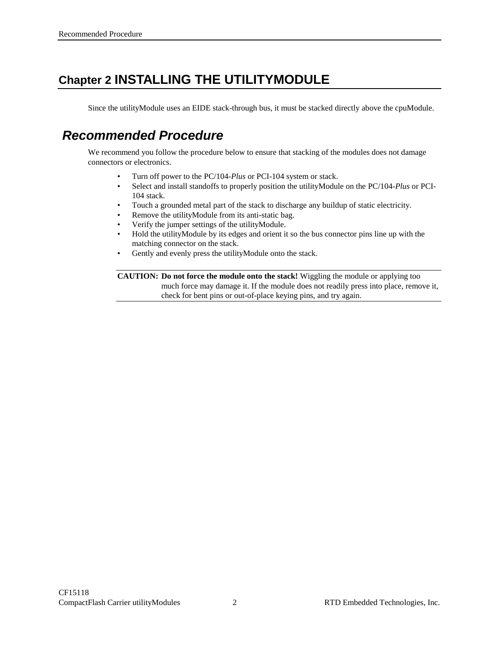## <span id="page-7-0"></span>**Chapter 2 INSTALLING THE UTILITYMODULE**

Since the utilityModule uses an EIDE stack-through bus, it must be stacked directly above the cpuModule.

#### <span id="page-7-1"></span>*Recommended Procedure*

We recommend you follow the procedure below to ensure that stacking of the modules does not damage connectors or electronics.

- Turn off power to the PC/104-*Plus* or PCI-104 system or stack.
- Select and install standoffs to properly position the utilityModule on the PC/104-*Plus* or PCI-104 stack.
- Touch a grounded metal part of the stack to discharge any buildup of static electricity.
- Remove the utilityModule from its anti-static bag.
- Verify the jumper settings of the utilityModule.
- Hold the utilityModule by its edges and orient it so the bus connector pins line up with the matching connector on the stack.
- Gently and evenly press the utility Module onto the stack.

**CAUTION: Do not force the module onto the stack!** Wiggling the module or applying too much force may damage it. If the module does not readily press into place, remove it, check for bent pins or out-of-place keying pins, and try again.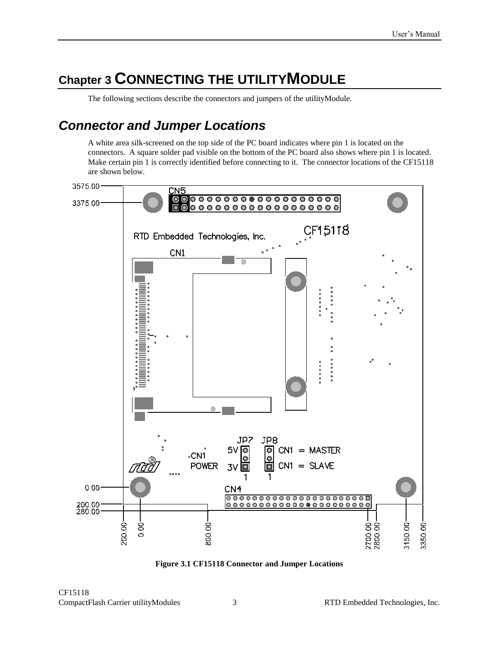## <span id="page-8-0"></span>**Chapter 3 CONNECTING THE UTILITYMODULE**

The following sections describe the connectors and jumpers of the utilityModule.

#### <span id="page-8-1"></span>*Connector and Jumper Locations*

A white area silk-screened on the top side of the PC board indicates where pin 1 is located on the connectors. A square solder pad visible on the bottom of the PC board also shows where pin 1 is located. Make certain pin 1 is correctly identified before connecting to it. The connector locations of the CF15118 are shown below.



**Figure 3.1 CF15118 Connector and Jumper Locations**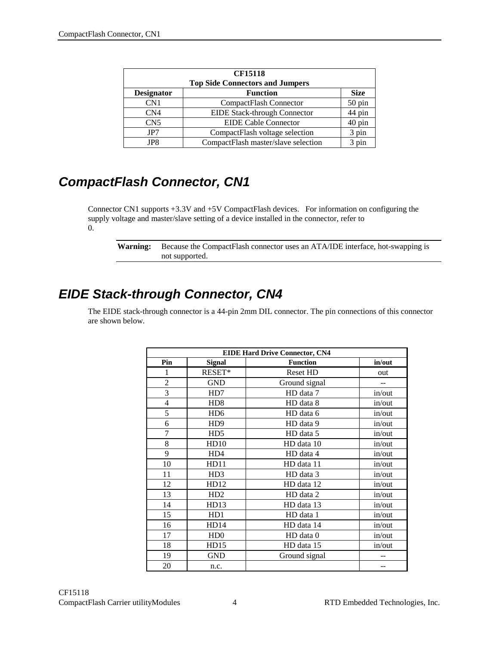| <b>CF15118</b><br><b>Top Side Connectors and Jumpers</b> |                                     |             |  |  |  |
|----------------------------------------------------------|-------------------------------------|-------------|--|--|--|
| <b>Designator</b>                                        | <b>Function</b>                     | <b>Size</b> |  |  |  |
| CN <sub>1</sub>                                          | CompactFlash Connector              | 50 pin      |  |  |  |
| CN <sub>4</sub>                                          | <b>EIDE Stack-through Connector</b> | 44 pin      |  |  |  |
| CN <sub>5</sub>                                          | <b>EIDE Cable Connector</b>         | 40 pin      |  |  |  |
| JP7                                                      | CompactFlash voltage selection      | 3 pin       |  |  |  |
| JP8.                                                     | CompactFlash master/slave selection | 3 pin       |  |  |  |

## <span id="page-9-0"></span>*CompactFlash Connector, CN1*

Connector CN1 supports +3.3V and +5V CompactFlash devices. For information on configuring the supply voltage and master/slave setting of a device installed in the connector, refer to [0.](#page-11-3)

**Warning:** Because the CompactFlash connector uses an ATA/IDE interface, hot-swapping is not supported.

## <span id="page-9-1"></span>*EIDE Stack-through Connector, CN4*

The EIDE stack-through connector is a 44-pin 2mm DIL connector. The pin connections of this connector are shown below.

| <b>EIDE Hard Drive Connector, CN4</b> |                             |                 |        |  |  |  |
|---------------------------------------|-----------------------------|-----------------|--------|--|--|--|
| Pin                                   | <b>Signal</b>               | <b>Function</b> | in/out |  |  |  |
| 1                                     | RESET*                      | <b>Reset HD</b> | out    |  |  |  |
| $\overline{2}$                        | <b>GND</b>                  | Ground signal   | $-$    |  |  |  |
| 3                                     | HD7                         | HD data 7       | in/out |  |  |  |
| $\overline{4}$                        | H <sub>D</sub> 8            | HD data 8       | in/out |  |  |  |
| 5                                     | H <sub>D</sub> <sub>6</sub> | HD data 6       | in/out |  |  |  |
| 6                                     | HD <sub>9</sub>             | HD data 9       | in/out |  |  |  |
| 7                                     | H <sub>D5</sub>             | HD data 5       | in/out |  |  |  |
| 8                                     | HD10                        | HD data 10      | in/out |  |  |  |
| 9                                     | HD4                         | HD data 4       | in/out |  |  |  |
| 10                                    | HD11                        | HD data 11      | in/out |  |  |  |
| 11                                    | H <sub>D</sub> 3            | HD data 3       | in/out |  |  |  |
| 12                                    | HD12                        | HD data 12      | in/out |  |  |  |
| 13                                    | HD2                         | HD data 2       | in/out |  |  |  |
| 14                                    | HD13                        | HD data 13      | in/out |  |  |  |
| 15                                    | HD1                         | HD data 1       | in/out |  |  |  |
| 16                                    | HD14                        | HD data 14      | in/out |  |  |  |
| 17                                    | HD0                         | HD data 0       | in/out |  |  |  |
| 18                                    | HD15                        | HD data 15      | in/out |  |  |  |
| 19                                    | <b>GND</b>                  | Ground signal   |        |  |  |  |
| 20                                    | n.c.                        |                 |        |  |  |  |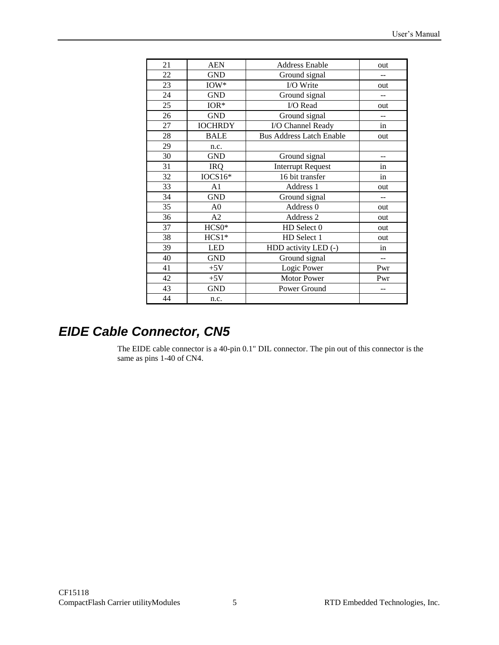| 21 | <b>AEN</b>     | <b>Address Enable</b>           | out            |
|----|----------------|---------------------------------|----------------|
| 22 | <b>GND</b>     | Ground signal                   |                |
| 23 | $IOW*$         | I/O Write                       | out            |
| 24 | <b>GND</b>     | Ground signal                   | $-$            |
| 25 | $IOR*$         | I/O Read                        | out            |
| 26 | <b>GND</b>     | Ground signal                   |                |
| 27 | <b>IOCHRDY</b> | I/O Channel Ready               | in             |
| 28 | <b>BALE</b>    | <b>Bus Address Latch Enable</b> | out            |
| 29 | n.c.           |                                 |                |
| 30 | <b>GND</b>     | Ground signal                   | $-$            |
| 31 | <b>IRQ</b>     | <b>Interrupt Request</b>        | in             |
| 32 | IOCS16*        | 16 bit transfer                 | in             |
| 33 | A <sub>1</sub> | Address 1                       | out            |
| 34 | <b>GND</b>     | Ground signal                   | $\overline{a}$ |
| 35 | A <sub>0</sub> | Address 0                       | out            |
| 36 | A2             | Address 2                       | out            |
| 37 | $HCS0*$        | HD Select 0                     | out            |
| 38 | $HCS1*$        | HD Select 1                     | out            |
| 39 | <b>LED</b>     | HDD activity LED (-)            | in             |
| 40 | <b>GND</b>     | Ground signal                   | $\overline{a}$ |
| 41 | $+5V$          | Logic Power                     | Pwr            |
| 42 | $+5V$          | <b>Motor Power</b>              | Pwr            |
| 43 | <b>GND</b>     | Power Ground                    | $-$            |
| 44 | n.c.           |                                 |                |
|    |                |                                 |                |

## <span id="page-10-0"></span>*EIDE Cable Connector, CN5*

The EIDE cable connector is a 40-pin 0.1" DIL connector. The pin out of this connector is the same as pins 1-40 of CN4.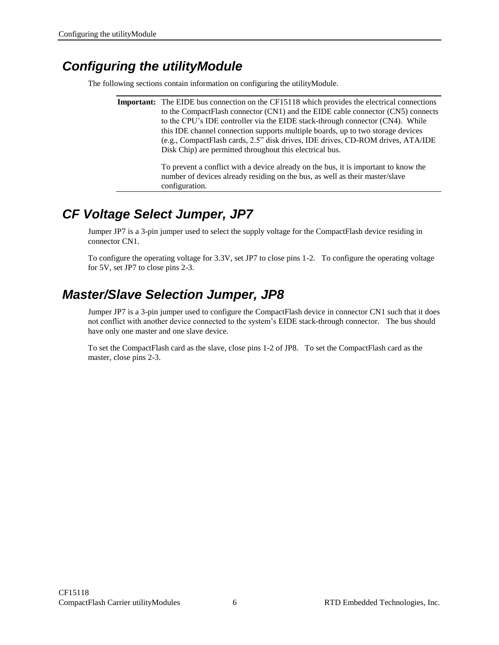#### <span id="page-11-3"></span><span id="page-11-0"></span>*Configuring the utilityModule*

The following sections contain information on configuring the utilityModule.

**Important:** The EIDE bus connection on the CF15118 which provides the electrical connections to the CompactFlash connector (CN1) and the EIDE cable connector (CN5) connects to the CPU's IDE controller via the EIDE stack-through connector (CN4). While this IDE channel connection supports multiple boards, up to two storage devices (e.g., CompactFlash cards, 2.5" disk drives, IDE drives, CD-ROM drives, ATA/IDE Disk Chip) are permitted throughout this electrical bus.

> To prevent a conflict with a device already on the bus, it is important to know the number of devices already residing on the bus, as well as their master/slave configuration.

## <span id="page-11-1"></span>*CF Voltage Select Jumper, JP7*

Jumper JP7 is a 3-pin jumper used to select the supply voltage for the CompactFlash device residing in connector CN1.

To configure the operating voltage for 3.3V, set JP7 to close pins 1-2. To configure the operating voltage for 5V, set JP7 to close pins 2-3.

## <span id="page-11-2"></span>*Master/Slave Selection Jumper, JP8*

Jumper JP7 is a 3-pin jumper used to configure the CompactFlash device in connector CN1 such that it does not conflict with another device connected to the system's EIDE stack-through connector. The bus should have only one master and one slave device.

To set the CompactFlash card as the slave, close pins 1-2 of JP8. To set the CompactFlash card as the master, close pins 2-3.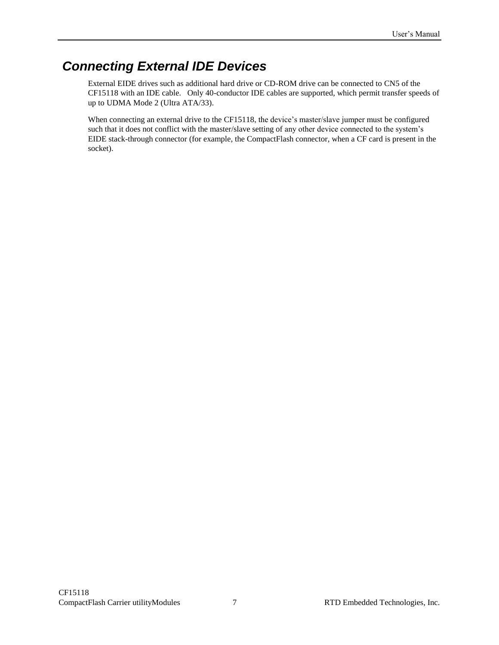## <span id="page-12-0"></span>*Connecting External IDE Devices*

External EIDE drives such as additional hard drive or CD-ROM drive can be connected to CN5 of the CF15118 with an IDE cable. Only 40-conductor IDE cables are supported, which permit transfer speeds of up to UDMA Mode 2 (Ultra ATA/33).

When connecting an external drive to the CF15118, the device's master/slave jumper must be configured such that it does not conflict with the master/slave setting of any other device connected to the system's EIDE stack-through connector (for example, the CompactFlash connector, when a CF card is present in the socket).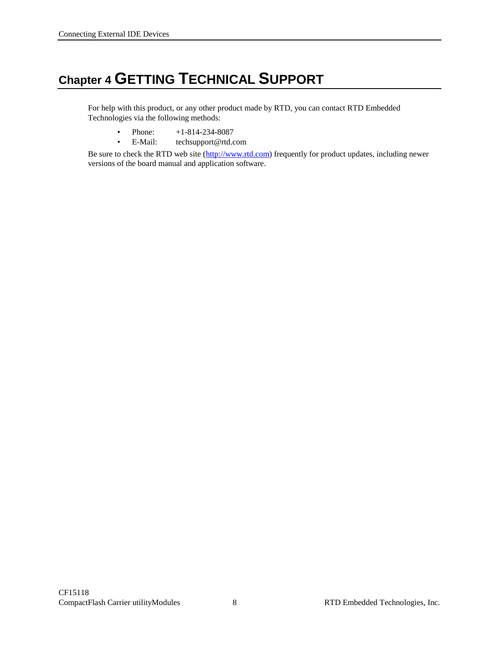## <span id="page-13-0"></span>**Chapter 4 GETTING TECHNICAL SUPPORT**

For help with this product, or any other product made by RTD, you can contact RTD Embedded Technologies via the following methods:

- Phone:  $+1-814-234-8087$
- E-Mail: [techsupport@rtd.com](mailto:techsupport@rtd.com)

Be sure to check the RTD web site [\(http://www.rtd.com\)](http://www.rtd.com/) frequently for product updates, including newer versions of the board manual and application software.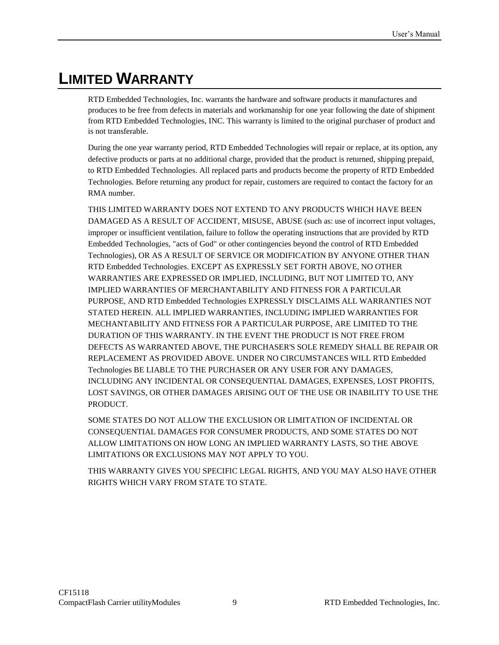## <span id="page-14-0"></span>**LIMITED WARRANTY**

RTD Embedded Technologies, Inc. warrants the hardware and software products it manufactures and produces to be free from defects in materials and workmanship for one year following the date of shipment from RTD Embedded Technologies, INC. This warranty is limited to the original purchaser of product and is not transferable.

During the one year warranty period, RTD Embedded Technologies will repair or replace, at its option, any defective products or parts at no additional charge, provided that the product is returned, shipping prepaid, to RTD Embedded Technologies. All replaced parts and products become the property of RTD Embedded Technologies. Before returning any product for repair, customers are required to contact the factory for an RMA number.

THIS LIMITED WARRANTY DOES NOT EXTEND TO ANY PRODUCTS WHICH HAVE BEEN DAMAGED AS A RESULT OF ACCIDENT, MISUSE, ABUSE (such as: use of incorrect input voltages, improper or insufficient ventilation, failure to follow the operating instructions that are provided by RTD Embedded Technologies, "acts of God" or other contingencies beyond the control of RTD Embedded Technologies), OR AS A RESULT OF SERVICE OR MODIFICATION BY ANYONE OTHER THAN RTD Embedded Technologies. EXCEPT AS EXPRESSLY SET FORTH ABOVE, NO OTHER WARRANTIES ARE EXPRESSED OR IMPLIED, INCLUDING, BUT NOT LIMITED TO, ANY IMPLIED WARRANTIES OF MERCHANTABILITY AND FITNESS FOR A PARTICULAR PURPOSE, AND RTD Embedded Technologies EXPRESSLY DISCLAIMS ALL WARRANTIES NOT STATED HEREIN. ALL IMPLIED WARRANTIES, INCLUDING IMPLIED WARRANTIES FOR MECHANTABILITY AND FITNESS FOR A PARTICULAR PURPOSE, ARE LIMITED TO THE DURATION OF THIS WARRANTY. IN THE EVENT THE PRODUCT IS NOT FREE FROM DEFECTS AS WARRANTED ABOVE, THE PURCHASER'S SOLE REMEDY SHALL BE REPAIR OR REPLACEMENT AS PROVIDED ABOVE. UNDER NO CIRCUMSTANCES WILL RTD Embedded Technologies BE LIABLE TO THE PURCHASER OR ANY USER FOR ANY DAMAGES, INCLUDING ANY INCIDENTAL OR CONSEQUENTIAL DAMAGES, EXPENSES, LOST PROFITS, LOST SAVINGS, OR OTHER DAMAGES ARISING OUT OF THE USE OR INABILITY TO USE THE PRODUCT.

SOME STATES DO NOT ALLOW THE EXCLUSION OR LIMITATION OF INCIDENTAL OR CONSEQUENTIAL DAMAGES FOR CONSUMER PRODUCTS, AND SOME STATES DO NOT ALLOW LIMITATIONS ON HOW LONG AN IMPLIED WARRANTY LASTS, SO THE ABOVE LIMITATIONS OR EXCLUSIONS MAY NOT APPLY TO YOU.

THIS WARRANTY GIVES YOU SPECIFIC LEGAL RIGHTS, AND YOU MAY ALSO HAVE OTHER RIGHTS WHICH VARY FROM STATE TO STATE.